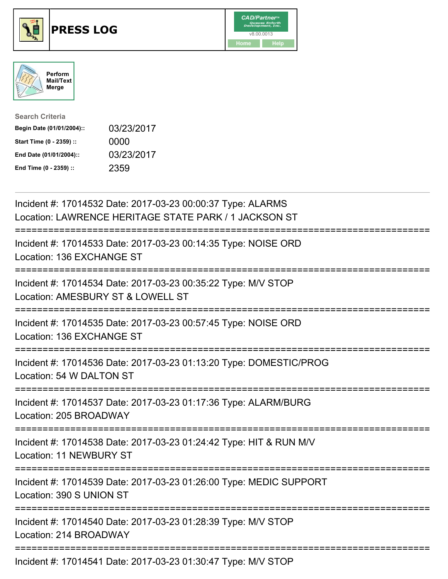





| <b>Search Criteria</b>    |            |
|---------------------------|------------|
| Begin Date (01/01/2004):: | 03/23/2017 |
| Start Time (0 - 2359) ::  | 0000       |
| End Date (01/01/2004)::   | 03/23/2017 |
| End Time (0 - 2359) ::    | 2359       |

| Incident #: 17014532 Date: 2017-03-23 00:00:37 Type: ALARMS<br>Location: LAWRENCE HERITAGE STATE PARK / 1 JACKSON ST                                  |
|-------------------------------------------------------------------------------------------------------------------------------------------------------|
| Incident #: 17014533 Date: 2017-03-23 00:14:35 Type: NOISE ORD<br>Location: 136 EXCHANGE ST                                                           |
| Incident #: 17014534 Date: 2017-03-23 00:35:22 Type: M/V STOP<br>Location: AMESBURY ST & LOWELL ST<br>:=============================                  |
| Incident #: 17014535 Date: 2017-03-23 00:57:45 Type: NOISE ORD<br>Location: 136 EXCHANGE ST                                                           |
| Incident #: 17014536 Date: 2017-03-23 01:13:20 Type: DOMESTIC/PROG<br>Location: 54 W DALTON ST<br>.-----------------                                  |
| Incident #: 17014537 Date: 2017-03-23 01:17:36 Type: ALARM/BURG<br>Location: 205 BROADWAY<br>.-------------------------------------<br>-------------- |
| Incident #: 17014538 Date: 2017-03-23 01:24:42 Type: HIT & RUN M/V<br>Location: 11 NEWBURY ST                                                         |
| Incident #: 17014539 Date: 2017-03-23 01:26:00 Type: MEDIC SUPPORT<br>Location: 390 S UNION ST                                                        |
| ---------<br>Incident #: 17014540 Date: 2017-03-23 01:28:39 Type: M/V STOP<br>Location: 214 BROADWAY                                                  |
| $\frac{1}{2}$                                                                                                                                         |

Incident #: 17014541 Date: 2017-03-23 01:30:47 Type: M/V STOP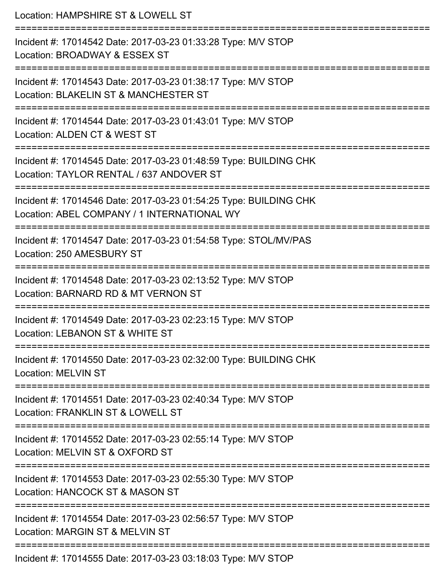Location: HAMPSHIRE ST & LOWELL ST =========================================================================== Incident #: 17014542 Date: 2017-03-23 01:33:28 Type: M/V STOP Location: BROADWAY & ESSEX ST =========================================================================== Incident #: 17014543 Date: 2017-03-23 01:38:17 Type: M/V STOP Location: BLAKELIN ST & MANCHESTER ST =========================================================================== Incident #: 17014544 Date: 2017-03-23 01:43:01 Type: M/V STOP Location: ALDEN CT & WEST ST =========================================================================== Incident #: 17014545 Date: 2017-03-23 01:48:59 Type: BUILDING CHK Location: TAYLOR RENTAL / 637 ANDOVER ST =========================================================================== Incident #: 17014546 Date: 2017-03-23 01:54:25 Type: BUILDING CHK Location: ABEL COMPANY / 1 INTERNATIONAL WY =========================================================================== Incident #: 17014547 Date: 2017-03-23 01:54:58 Type: STOL/MV/PAS Location: 250 AMESBURY ST =========================================================================== Incident #: 17014548 Date: 2017-03-23 02:13:52 Type: M/V STOP Location: BARNARD RD & MT VERNON ST =========================================================================== Incident #: 17014549 Date: 2017-03-23 02:23:15 Type: M/V STOP Location: LEBANON ST & WHITE ST =========================================================================== Incident #: 17014550 Date: 2017-03-23 02:32:00 Type: BUILDING CHK Location: MELVIN ST =========================================================================== Incident #: 17014551 Date: 2017-03-23 02:40:34 Type: M/V STOP Location: FRANKLIN ST & LOWELL ST =========================================================================== Incident #: 17014552 Date: 2017-03-23 02:55:14 Type: M/V STOP Location: MELVIN ST & OXFORD ST =========================================================================== Incident #: 17014553 Date: 2017-03-23 02:55:30 Type: M/V STOP Location: HANCOCK ST & MASON ST =========================================================================== Incident #: 17014554 Date: 2017-03-23 02:56:57 Type: M/V STOP Location: MARGIN ST & MELVIN ST ===========================================================================

Incident #: 17014555 Date: 2017-03-23 03:18:03 Type: M/V STOP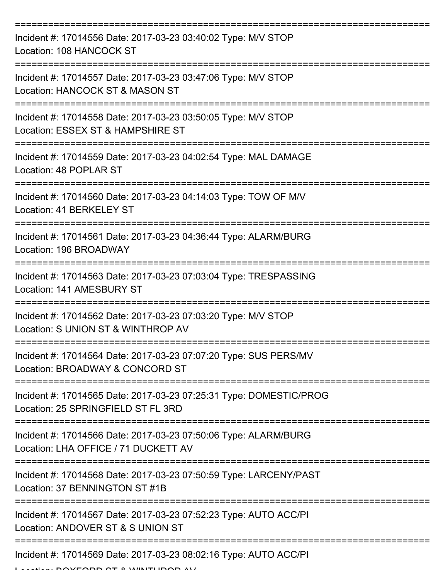| Incident #: 17014556 Date: 2017-03-23 03:40:02 Type: M/V STOP<br><b>Location: 108 HANCOCK ST</b>         |
|----------------------------------------------------------------------------------------------------------|
| Incident #: 17014557 Date: 2017-03-23 03:47:06 Type: M/V STOP<br>Location: HANCOCK ST & MASON ST         |
| Incident #: 17014558 Date: 2017-03-23 03:50:05 Type: M/V STOP<br>Location: ESSEX ST & HAMPSHIRE ST       |
| Incident #: 17014559 Date: 2017-03-23 04:02:54 Type: MAL DAMAGE<br>Location: 48 POPLAR ST                |
| Incident #: 17014560 Date: 2017-03-23 04:14:03 Type: TOW OF M/V<br>Location: 41 BERKELEY ST              |
| Incident #: 17014561 Date: 2017-03-23 04:36:44 Type: ALARM/BURG<br>Location: 196 BROADWAY                |
| Incident #: 17014563 Date: 2017-03-23 07:03:04 Type: TRESPASSING<br>Location: 141 AMESBURY ST            |
| Incident #: 17014562 Date: 2017-03-23 07:03:20 Type: M/V STOP<br>Location: S UNION ST & WINTHROP AV      |
| Incident #: 17014564 Date: 2017-03-23 07:07:20 Type: SUS PERS/MV<br>Location: BROADWAY & CONCORD ST      |
| Incident #: 17014565 Date: 2017-03-23 07:25:31 Type: DOMESTIC/PROG<br>Location: 25 SPRINGFIELD ST FL 3RD |
| Incident #: 17014566 Date: 2017-03-23 07:50:06 Type: ALARM/BURG<br>Location: LHA OFFICE / 71 DUCKETT AV  |
| Incident #: 17014568 Date: 2017-03-23 07:50:59 Type: LARCENY/PAST<br>Location: 37 BENNINGTON ST #1B      |
| Incident #: 17014567 Date: 2017-03-23 07:52:23 Type: AUTO ACC/PI<br>Location: ANDOVER ST & S UNION ST    |
| Incident #: 17014569 Date: 2017-03-23 08:02:16 Type: AUTO ACC/PI                                         |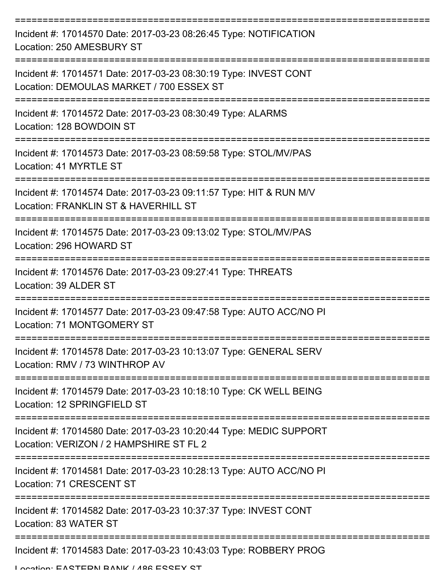| Incident #: 17014570 Date: 2017-03-23 08:26:45 Type: NOTIFICATION<br>Location: 250 AMESBURY ST                |
|---------------------------------------------------------------------------------------------------------------|
| Incident #: 17014571 Date: 2017-03-23 08:30:19 Type: INVEST CONT<br>Location: DEMOULAS MARKET / 700 ESSEX ST  |
| Incident #: 17014572 Date: 2017-03-23 08:30:49 Type: ALARMS<br>Location: 128 BOWDOIN ST                       |
| Incident #: 17014573 Date: 2017-03-23 08:59:58 Type: STOL/MV/PAS<br>Location: 41 MYRTLE ST                    |
| Incident #: 17014574 Date: 2017-03-23 09:11:57 Type: HIT & RUN M/V<br>Location: FRANKLIN ST & HAVERHILL ST    |
| Incident #: 17014575 Date: 2017-03-23 09:13:02 Type: STOL/MV/PAS<br>Location: 296 HOWARD ST                   |
| Incident #: 17014576 Date: 2017-03-23 09:27:41 Type: THREATS<br>Location: 39 ALDER ST                         |
| Incident #: 17014577 Date: 2017-03-23 09:47:58 Type: AUTO ACC/NO PI<br>Location: 71 MONTGOMERY ST             |
| Incident #: 17014578 Date: 2017-03-23 10:13:07 Type: GENERAL SERV<br>Location: RMV / 73 WINTHROP AV           |
| Incident #: 17014579 Date: 2017-03-23 10:18:10 Type: CK WELL BEING<br>Location: 12 SPRINGFIELD ST             |
| Incident #: 17014580 Date: 2017-03-23 10:20:44 Type: MEDIC SUPPORT<br>Location: VERIZON / 2 HAMPSHIRE ST FL 2 |
| Incident #: 17014581 Date: 2017-03-23 10:28:13 Type: AUTO ACC/NO PI<br>Location: 71 CRESCENT ST               |
| Incident #: 17014582 Date: 2017-03-23 10:37:37 Type: INVEST CONT<br>Location: 83 WATER ST                     |
| Incident #: 17014583 Date: 2017-03-23 10:43:03 Type: ROBBERY PROG                                             |

Location: EASTEDN BANK / 198 ESSEY ST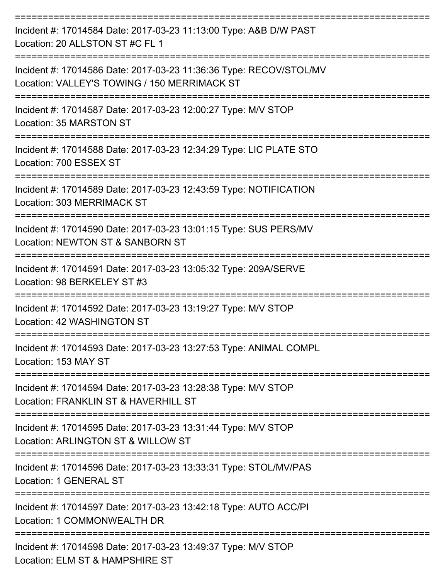| Incident #: 17014584 Date: 2017-03-23 11:13:00 Type: A&B D/W PAST<br>Location: 20 ALLSTON ST #C FL 1                                                   |
|--------------------------------------------------------------------------------------------------------------------------------------------------------|
| Incident #: 17014586 Date: 2017-03-23 11:36:36 Type: RECOV/STOL/MV<br>Location: VALLEY'S TOWING / 150 MERRIMACK ST                                     |
| Incident #: 17014587 Date: 2017-03-23 12:00:27 Type: M/V STOP<br>Location: 35 MARSTON ST                                                               |
| Incident #: 17014588 Date: 2017-03-23 12:34:29 Type: LIC PLATE STO<br>Location: 700 ESSEX ST                                                           |
| Incident #: 17014589 Date: 2017-03-23 12:43:59 Type: NOTIFICATION<br>Location: 303 MERRIMACK ST                                                        |
| Incident #: 17014590 Date: 2017-03-23 13:01:15 Type: SUS PERS/MV<br>Location: NEWTON ST & SANBORN ST                                                   |
| Incident #: 17014591 Date: 2017-03-23 13:05:32 Type: 209A/SERVE<br>Location: 98 BERKELEY ST #3                                                         |
| Incident #: 17014592 Date: 2017-03-23 13:19:27 Type: M/V STOP<br>Location: 42 WASHINGTON ST                                                            |
| Incident #: 17014593 Date: 2017-03-23 13:27:53 Type: ANIMAL COMPL<br>Location: 153 MAY ST                                                              |
| ======================<br>===================<br>Incident #: 17014594 Date: 2017-03-23 13:28:38 Type: M/V STOP<br>Location: FRANKLIN ST & HAVERHILL ST |
| Incident #: 17014595 Date: 2017-03-23 13:31:44 Type: M/V STOP<br>Location: ARLINGTON ST & WILLOW ST                                                    |
| Incident #: 17014596 Date: 2017-03-23 13:33:31 Type: STOL/MV/PAS<br><b>Location: 1 GENERAL ST</b>                                                      |
| Incident #: 17014597 Date: 2017-03-23 13:42:18 Type: AUTO ACC/PI<br>Location: 1 COMMONWEALTH DR                                                        |
| Incident #: 17014598 Date: 2017-03-23 13:49:37 Type: M/V STOP<br>Location: ELM ST & HAMPSHIRE ST                                                       |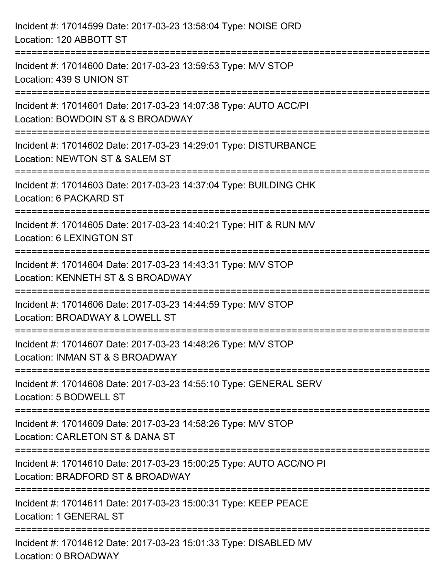| Incident #: 17014599 Date: 2017-03-23 13:58:04 Type: NOISE ORD<br>Location: 120 ABBOTT ST                                                         |
|---------------------------------------------------------------------------------------------------------------------------------------------------|
| Incident #: 17014600 Date: 2017-03-23 13:59:53 Type: M/V STOP<br>Location: 439 S UNION ST                                                         |
| Incident #: 17014601 Date: 2017-03-23 14:07:38 Type: AUTO ACC/PI<br>Location: BOWDOIN ST & S BROADWAY                                             |
| ======================<br>-----------------<br>Incident #: 17014602 Date: 2017-03-23 14:29:01 Type: DISTURBANCE<br>Location: NEWTON ST & SALEM ST |
| ========================<br>Incident #: 17014603 Date: 2017-03-23 14:37:04 Type: BUILDING CHK<br>Location: 6 PACKARD ST                           |
| Incident #: 17014605 Date: 2017-03-23 14:40:21 Type: HIT & RUN M/V<br>Location: 6 LEXINGTON ST                                                    |
| Incident #: 17014604 Date: 2017-03-23 14:43:31 Type: M/V STOP<br>Location: KENNETH ST & S BROADWAY                                                |
| Incident #: 17014606 Date: 2017-03-23 14:44:59 Type: M/V STOP<br>Location: BROADWAY & LOWELL ST                                                   |
| Incident #: 17014607 Date: 2017-03-23 14:48:26 Type: M/V STOP<br>Location: INMAN ST & S BROADWAY                                                  |
| Incident #: 17014608 Date: 2017-03-23 14:55:10 Type: GENERAL SERV<br>Location: 5 BODWELL ST                                                       |
| Incident #: 17014609 Date: 2017-03-23 14:58:26 Type: M/V STOP<br>Location: CARLETON ST & DANA ST                                                  |
| Incident #: 17014610 Date: 2017-03-23 15:00:25 Type: AUTO ACC/NO PI<br>Location: BRADFORD ST & BROADWAY                                           |
| Incident #: 17014611 Date: 2017-03-23 15:00:31 Type: KEEP PEACE<br>Location: 1 GENERAL ST                                                         |
| Incident #: 17014612 Date: 2017-03-23 15:01:33 Type: DISABLED MV<br>Location: 0 BROADWAY                                                          |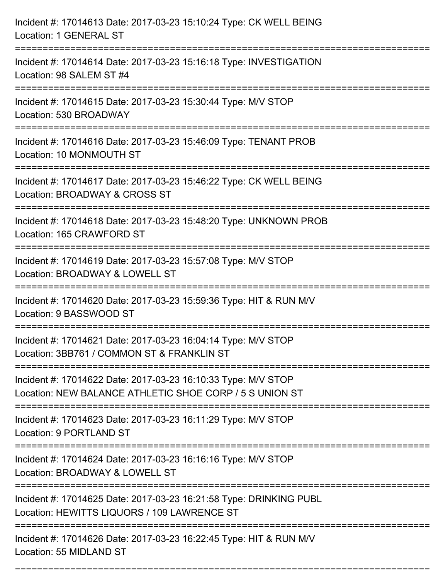| Incident #: 17014613 Date: 2017-03-23 15:10:24 Type: CK WELL BEING<br>Location: 1 GENERAL ST                                                                   |
|----------------------------------------------------------------------------------------------------------------------------------------------------------------|
| Incident #: 17014614 Date: 2017-03-23 15:16:18 Type: INVESTIGATION<br>Location: 98 SALEM ST #4                                                                 |
| Incident #: 17014615 Date: 2017-03-23 15:30:44 Type: M/V STOP<br>Location: 530 BROADWAY                                                                        |
| Incident #: 17014616 Date: 2017-03-23 15:46:09 Type: TENANT PROB<br>Location: 10 MONMOUTH ST                                                                   |
| Incident #: 17014617 Date: 2017-03-23 15:46:22 Type: CK WELL BEING<br>Location: BROADWAY & CROSS ST                                                            |
| Incident #: 17014618 Date: 2017-03-23 15:48:20 Type: UNKNOWN PROB<br>Location: 165 CRAWFORD ST                                                                 |
| Incident #: 17014619 Date: 2017-03-23 15:57:08 Type: M/V STOP<br>Location: BROADWAY & LOWELL ST                                                                |
| Incident #: 17014620 Date: 2017-03-23 15:59:36 Type: HIT & RUN M/V<br>Location: 9 BASSWOOD ST                                                                  |
| Incident #: 17014621 Date: 2017-03-23 16:04:14 Type: M/V STOP<br>Location: 3BB761 / COMMON ST & FRANKLIN ST                                                    |
| Incident #: 17014622 Date: 2017-03-23 16:10:33 Type: M/V STOP<br>Location: NEW BALANCE ATHLETIC SHOE CORP / 5 S UNION ST<br>---------------------------------- |
| Incident #: 17014623 Date: 2017-03-23 16:11:29 Type: M/V STOP<br>Location: 9 PORTLAND ST                                                                       |
| Incident #: 17014624 Date: 2017-03-23 16:16:16 Type: M/V STOP<br>Location: BROADWAY & LOWELL ST                                                                |
| Incident #: 17014625 Date: 2017-03-23 16:21:58 Type: DRINKING PUBL<br>Location: HEWITTS LIQUORS / 109 LAWRENCE ST                                              |
| Incident #: 17014626 Date: 2017-03-23 16:22:45 Type: HIT & RUN M/V<br>Location: 55 MIDLAND ST                                                                  |

===========================================================================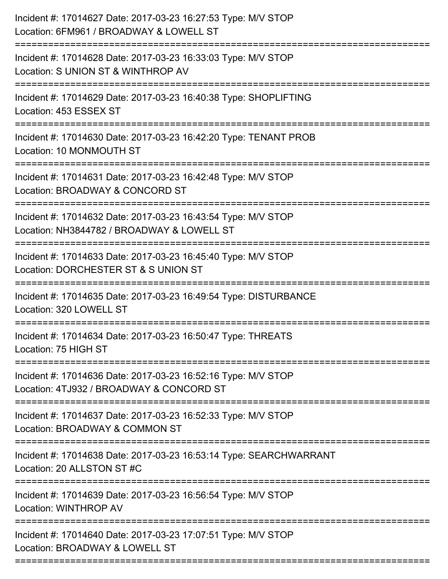| Incident #: 17014627 Date: 2017-03-23 16:27:53 Type: M/V STOP<br>Location: 6FM961 / BROADWAY & LOWELL ST    |
|-------------------------------------------------------------------------------------------------------------|
| Incident #: 17014628 Date: 2017-03-23 16:33:03 Type: M/V STOP<br>Location: S UNION ST & WINTHROP AV         |
| Incident #: 17014629 Date: 2017-03-23 16:40:38 Type: SHOPLIFTING<br>Location: 453 ESSEX ST                  |
| Incident #: 17014630 Date: 2017-03-23 16:42:20 Type: TENANT PROB<br>Location: 10 MONMOUTH ST                |
| Incident #: 17014631 Date: 2017-03-23 16:42:48 Type: M/V STOP<br>Location: BROADWAY & CONCORD ST            |
| Incident #: 17014632 Date: 2017-03-23 16:43:54 Type: M/V STOP<br>Location: NH3844782 / BROADWAY & LOWELL ST |
| Incident #: 17014633 Date: 2017-03-23 16:45:40 Type: M/V STOP<br>Location: DORCHESTER ST & S UNION ST       |
| Incident #: 17014635 Date: 2017-03-23 16:49:54 Type: DISTURBANCE<br>Location: 320 LOWELL ST                 |
| Incident #: 17014634 Date: 2017-03-23 16:50:47 Type: THREATS<br>Location: 75 HIGH ST                        |
| Incident #: 17014636 Date: 2017-03-23 16:52:16 Type: M/V STOP<br>Location: 4TJ932 / BROADWAY & CONCORD ST   |
| Incident #: 17014637 Date: 2017-03-23 16:52:33 Type: M/V STOP<br>Location: BROADWAY & COMMON ST             |
| Incident #: 17014638 Date: 2017-03-23 16:53:14 Type: SEARCHWARRANT<br>Location: 20 ALLSTON ST #C            |
| Incident #: 17014639 Date: 2017-03-23 16:56:54 Type: M/V STOP<br>Location: WINTHROP AV                      |
| Incident #: 17014640 Date: 2017-03-23 17:07:51 Type: M/V STOP<br>Location: BROADWAY & LOWELL ST             |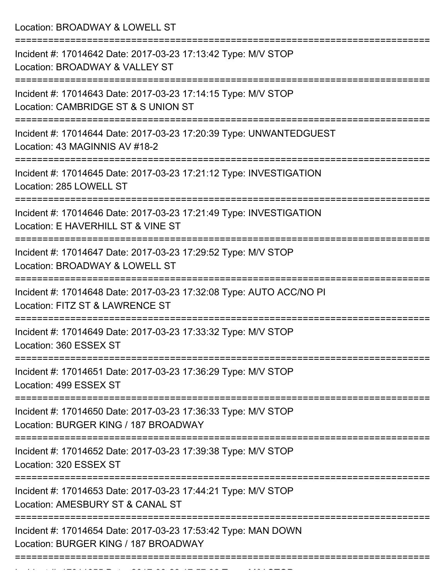Location: BROADWAY & LOWELL ST =========================================================================== Incident #: 17014642 Date: 2017-03-23 17:13:42 Type: M/V STOP Location: BROADWAY & VALLEY ST =========================================================================== Incident #: 17014643 Date: 2017-03-23 17:14:15 Type: M/V STOP Location: CAMBRIDGE ST & S UNION ST =========================================================================== Incident #: 17014644 Date: 2017-03-23 17:20:39 Type: UNWANTEDGUEST Location: 43 MAGINNIS AV #18-2 =========================================================================== Incident #: 17014645 Date: 2017-03-23 17:21:12 Type: INVESTIGATION Location: 285 LOWELL ST =========================================================================== Incident #: 17014646 Date: 2017-03-23 17:21:49 Type: INVESTIGATION Location: E HAVERHILL ST & VINE ST =========================================================================== Incident #: 17014647 Date: 2017-03-23 17:29:52 Type: M/V STOP Location: BROADWAY & LOWELL ST =========================================================================== Incident #: 17014648 Date: 2017-03-23 17:32:08 Type: AUTO ACC/NO PI Location: FITZ ST & LAWRENCE ST =========================================================================== Incident #: 17014649 Date: 2017-03-23 17:33:32 Type: M/V STOP Location: 360 ESSEX ST =========================================================================== Incident #: 17014651 Date: 2017-03-23 17:36:29 Type: M/V STOP Location: 499 ESSEX ST =========================================================================== Incident #: 17014650 Date: 2017-03-23 17:36:33 Type: M/V STOP Location: BURGER KING / 187 BROADWAY =========================================================================== Incident #: 17014652 Date: 2017-03-23 17:39:38 Type: M/V STOP Location: 320 ESSEX ST =========================================================================== Incident #: 17014653 Date: 2017-03-23 17:44:21 Type: M/V STOP Location: AMESBURY ST & CANAL ST =========================================================================== Incident #: 17014654 Date: 2017-03-23 17:53:42 Type: MAN DOWN Location: BURGER KING / 187 BROADWAY ===========================================================================

Incident #: 17014655 Date: 2017 03 24 17:57:32 Type: M/V STOP: M/V STOP: M/V STOP: M/V STOP: M/V STOP: M/V STO<br>.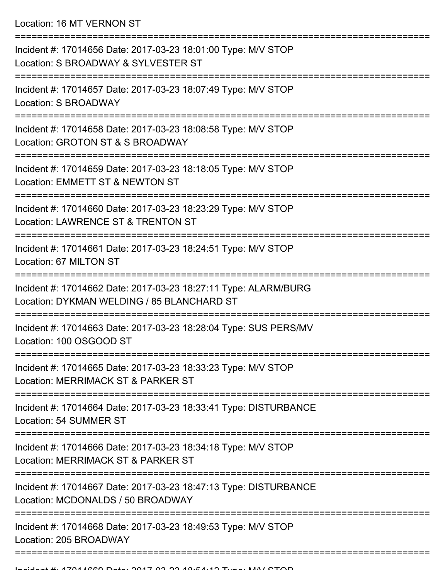Location: 16 MT VERNON ST

| Incident #: 17014656 Date: 2017-03-23 18:01:00 Type: M/V STOP<br>Location: S BROADWAY & SYLVESTER ST          |
|---------------------------------------------------------------------------------------------------------------|
| Incident #: 17014657 Date: 2017-03-23 18:07:49 Type: M/V STOP<br>Location: S BROADWAY                         |
| Incident #: 17014658 Date: 2017-03-23 18:08:58 Type: M/V STOP<br>Location: GROTON ST & S BROADWAY             |
| Incident #: 17014659 Date: 2017-03-23 18:18:05 Type: M/V STOP<br>Location: EMMETT ST & NEWTON ST              |
| Incident #: 17014660 Date: 2017-03-23 18:23:29 Type: M/V STOP<br>Location: LAWRENCE ST & TRENTON ST           |
| Incident #: 17014661 Date: 2017-03-23 18:24:51 Type: M/V STOP<br>Location: 67 MILTON ST                       |
| Incident #: 17014662 Date: 2017-03-23 18:27:11 Type: ALARM/BURG<br>Location: DYKMAN WELDING / 85 BLANCHARD ST |
| Incident #: 17014663 Date: 2017-03-23 18:28:04 Type: SUS PERS/MV<br>Location: 100 OSGOOD ST                   |
| Incident #: 17014665 Date: 2017-03-23 18:33:23 Type: M/V STOP<br>Location: MERRIMACK ST & PARKER ST           |
| Incident #: 17014664 Date: 2017-03-23 18:33:41 Type: DISTURBANCE<br>Location: 54 SUMMER ST                    |
| Incident #: 17014666 Date: 2017-03-23 18:34:18 Type: M/V STOP<br>Location: MERRIMACK ST & PARKER ST           |
| Incident #: 17014667 Date: 2017-03-23 18:47:13 Type: DISTURBANCE<br>Location: MCDONALDS / 50 BROADWAY         |
| Incident #: 17014668 Date: 2017-03-23 18:49:53 Type: M/V STOP<br>Location: 205 BROADWAY                       |
|                                                                                                               |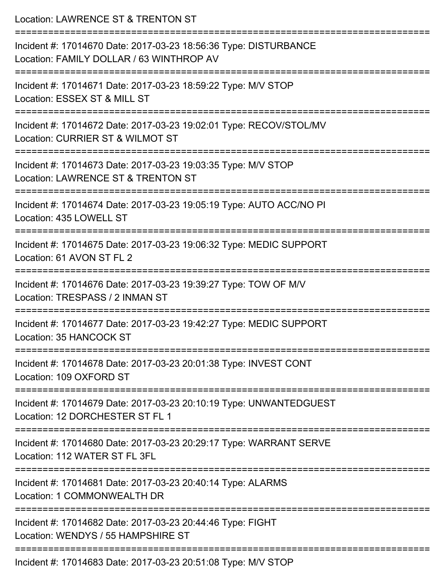| Location: LAWRENCE ST & TRENTON ST                                                                           |
|--------------------------------------------------------------------------------------------------------------|
| Incident #: 17014670 Date: 2017-03-23 18:56:36 Type: DISTURBANCE<br>Location: FAMILY DOLLAR / 63 WINTHROP AV |
| Incident #: 17014671 Date: 2017-03-23 18:59:22 Type: M/V STOP<br>Location: ESSEX ST & MILL ST                |
| Incident #: 17014672 Date: 2017-03-23 19:02:01 Type: RECOV/STOL/MV<br>Location: CURRIER ST & WILMOT ST       |
| Incident #: 17014673 Date: 2017-03-23 19:03:35 Type: M/V STOP<br>Location: LAWRENCE ST & TRENTON ST          |
| Incident #: 17014674 Date: 2017-03-23 19:05:19 Type: AUTO ACC/NO PI<br>Location: 435 LOWELL ST               |
| Incident #: 17014675 Date: 2017-03-23 19:06:32 Type: MEDIC SUPPORT<br>Location: 61 AVON ST FL 2              |
| Incident #: 17014676 Date: 2017-03-23 19:39:27 Type: TOW OF M/V<br>Location: TRESPASS / 2 INMAN ST           |
| Incident #: 17014677 Date: 2017-03-23 19:42:27 Type: MEDIC SUPPORT<br>Location: 35 HANCOCK ST                |
| Incident #: 17014678 Date: 2017-03-23 20:01:38 Type: INVEST CONT<br>Location: 109 OXFORD ST                  |
| Incident #: 17014679 Date: 2017-03-23 20:10:19 Type: UNWANTEDGUEST<br>Location: 12 DORCHESTER ST FL 1        |
| Incident #: 17014680 Date: 2017-03-23 20:29:17 Type: WARRANT SERVE<br>Location: 112 WATER ST FL 3FL          |
| Incident #: 17014681 Date: 2017-03-23 20:40:14 Type: ALARMS<br>Location: 1 COMMONWEALTH DR                   |
| Incident #: 17014682 Date: 2017-03-23 20:44:46 Type: FIGHT<br>Location: WENDYS / 55 HAMPSHIRE ST             |
| Incident #: 17014683 Date: 2017-03-23 20:51:08 Type: M/V STOP                                                |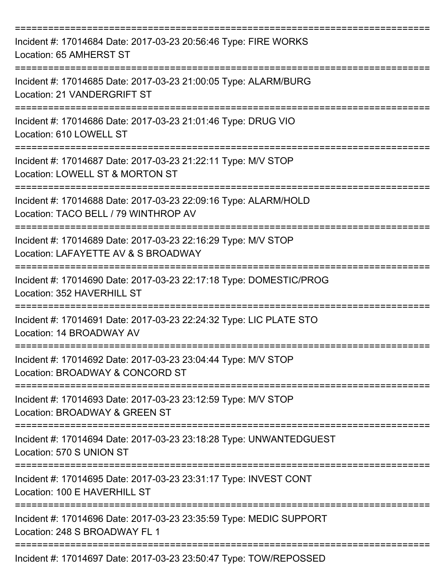| Incident #: 17014684 Date: 2017-03-23 20:56:46 Type: FIRE WORKS<br>Location: 65 AMHERST ST                                 |
|----------------------------------------------------------------------------------------------------------------------------|
| Incident #: 17014685 Date: 2017-03-23 21:00:05 Type: ALARM/BURG<br>Location: 21 VANDERGRIFT ST                             |
| Incident #: 17014686 Date: 2017-03-23 21:01:46 Type: DRUG VIO<br>Location: 610 LOWELL ST                                   |
| Incident #: 17014687 Date: 2017-03-23 21:22:11 Type: M/V STOP<br>Location: LOWELL ST & MORTON ST                           |
| Incident #: 17014688 Date: 2017-03-23 22:09:16 Type: ALARM/HOLD<br>Location: TACO BELL / 79 WINTHROP AV                    |
| ==================<br>Incident #: 17014689 Date: 2017-03-23 22:16:29 Type: M/V STOP<br>Location: LAFAYETTE AV & S BROADWAY |
| Incident #: 17014690 Date: 2017-03-23 22:17:18 Type: DOMESTIC/PROG<br>Location: 352 HAVERHILL ST                           |
| Incident #: 17014691 Date: 2017-03-23 22:24:32 Type: LIC PLATE STO<br>Location: 14 BROADWAY AV                             |
| ===============<br>Incident #: 17014692 Date: 2017-03-23 23:04:44 Type: M/V STOP<br>Location: BROADWAY & CONCORD ST        |
| Incident #: 17014693 Date: 2017-03-23 23:12:59 Type: M/V STOP<br>Location: BROADWAY & GREEN ST                             |
| Incident #: 17014694 Date: 2017-03-23 23:18:28 Type: UNWANTEDGUEST<br>Location: 570 S UNION ST                             |
| Incident #: 17014695 Date: 2017-03-23 23:31:17 Type: INVEST CONT<br>Location: 100 E HAVERHILL ST                           |
| Incident #: 17014696 Date: 2017-03-23 23:35:59 Type: MEDIC SUPPORT<br>Location: 248 S BROADWAY FL 1                        |
| Incident #: 17014697 Date: 2017-03-23 23:50:47 Type: TOW/REPOSSED                                                          |